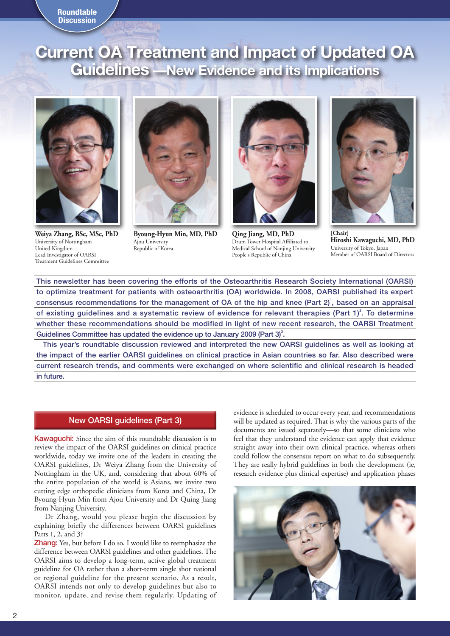## **Roundtable Discussion**

# **Current OA Treatment and Impact of Updated OA Guidelines —New Evidence and its Implications**



**Weiya Zhang, BSc, MSc, PhD** University of Nottingham United Kingdom Lead Investigator of OARSI Treatment Guidelines Committee



**Byoung-Hyun Min, MD, PhD** Ajou University Republic of Korea



**Qing Jiang, MD, PhD** Drum Tower Hospital Affiliated to Medical School of Nanjing University People's Republic of China



**[Chair] Hiroshi Kawaguchi, MD, PhD** University of Tokyo, Japan Member of OARSI Board of Directors

This newsletter has been covering the efforts of the Osteoarthritis Research Society International (OARSI) to optimize treatment for patients with osteoarthritis (OA) worldwide. In 2008, OARSI published its expert consensus recommendations for the management of OA of the hip and knee (Part  $2$ )<sup>1</sup>, based on an appraisal of existing guidelines and a systematic review of evidence for relevant therapies (Part  $1)^2$ . To determine whether these recommendations should be modified in light of new recent research, the OARSI Treatment Guidelines Committee has updated the evidence up to January 2009 (Part  $3$ )<sup>3</sup>.

This year's roundtable discussion reviewed and interpreted the new OARSI guidelines as well as looking at the impact of the earlier OARSI guidelines on clinical practice in Asian countries so far. Also described were current research trends, and comments were exchanged on where scientific and clinical research is headed in future.

# New OARSI guidelines (Part 3)

Kawaguchi: Since the aim of this roundtable discussion is to review the impact of the OARSI guidelines on clinical practice worldwide, today we invite one of the leaders in creating the OARSI guidelines, Dr Weiya Zhang from the University of Nottingham in the UK, and, considering that about 60% of the entire population of the world is Asians, we invite two cutting edge orthopedic clinicians from Korea and China, Dr Byoung-Hyun Min from Ajou University and Dr Quing Jiang from Nanjing University.

Dr Zhang, would you please begin the discussion by explaining briefly the differences between OARSI guidelines Parts 1, 2, and 3?

Zhang: Yes, but before I do so, I would like to reemphasize the difference between OARSI guidelines and other guidelines. The OARSI aims to develop a long-term, active global treatment guideline for OA rather than a short-term single shot national or regional guideline for the present scenario. As a result, OARSI intends not only to develop guidelines but also to monitor, update, and revise them regularly. Updating of evidence is scheduled to occur every year, and recommendations will be updated as required. That is why the various parts of the documents are issued separately—so that some clinicians who feel that they understand the evidence can apply that evidence straight away into their own clinical practice, whereas others could follow the consensus report on what to do subsequently. They are really hybrid guidelines in both the development (ie, research evidence plus clinical expertise) and application phases

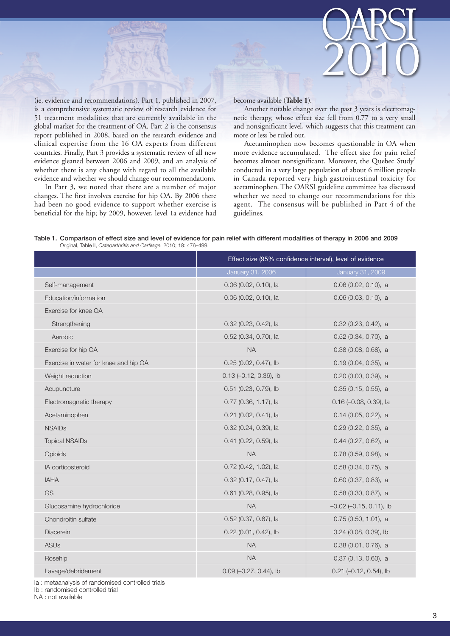

(ie, evidence and recommendations). Part 1, published in 2007, is a comprehensive systematic review of research evidence for 51 treatment modalities that are currently available in the global market for the treatment of OA. Part 2 is the consensus report published in 2008, based on the research evidence and clinical expertise from the 16 OA experts from different countries. Finally, Part 3 provides a systematic review of all new evidence gleaned between 2006 and 2009, and an analysis of whether there is any change with regard to all the available evidence and whether we should change our recommendations.

In Part 3, we noted that there are a number of major changes. The first involves exercise for hip OA. By 2006 there had been no good evidence to support whether exercise is beneficial for the hip; by 2009, however, level 1a evidence had

#### become available (**Table 1**).

Another notable change over the past 3 years is electromagnetic therapy, whose effect size fell from 0.77 to a very small and nonsignificant level, which suggests that this treatment can more or less be ruled out.

Acetaminophen now becomes questionable in OA when more evidence accumulated. The effect size for pain relief becomes almost nonsignificant. Moreover, the Quebec Study<sup>4</sup> conducted in a very large population of about 6 million people in Canada reported very high gastrointestinal toxicity for acetaminophen. The OARSI guideline committee has discussed whether we need to change our recommendations for this agent. The consensus will be published in Part 4 of the guidelines.

| Table 1. Comparison of effect size and level of evidence for pain relief with different modalities of therapy in 2006 and 2009 |  |
|--------------------------------------------------------------------------------------------------------------------------------|--|
| Original, Table II, Osteoarthritis and Cartilage. 2010; 18: 476-499.                                                           |  |

|                                       | Effect size (95% confidence interval), level of evidence |                              |  |
|---------------------------------------|----------------------------------------------------------|------------------------------|--|
|                                       | January 31, 2006                                         | January 31, 2009             |  |
| Self-management                       | $0.06$ (0.02, 0.10), la                                  | $0.06$ (0.02, 0.10), la      |  |
| Education/information                 | 0.06 (0.02, 0.10), la                                    | 0.06 (0.03, 0.10), la        |  |
| Exercise for knee OA                  |                                                          |                              |  |
| Strengthening                         | 0.32 (0.23, 0.42), la                                    | 0.32 (0.23, 0.42), la        |  |
| Aerobic                               | 0.52 (0.34, 0.70), la                                    | 0.52 (0.34, 0.70), la        |  |
| Exercise for hip OA                   | NA                                                       | 0.38 (0.08, 0.68), la        |  |
| Exercise in water for knee and hip OA | 0.25 (0.02, 0.47), lb                                    | 0.19 (0.04, 0.35), la        |  |
| Weight reduction                      | $0.13$ (-0.12, 0.36), lb                                 | 0.20 (0.00, 0.39), la        |  |
| Acupuncture                           | 0.51 (0.23, 0.79), lb                                    | 0.35 (0.15, 0.55), la        |  |
| Electromagnetic therapy               | 0.77 (0.36, 1.17), la                                    | 0.16 (-0.08, 0.39), la       |  |
| Acetaminophen                         | 0.21 (0.02, 0.41), la                                    | 0.14 (0.05, 0.22), la        |  |
| <b>NSAIDs</b>                         | 0.32 (0.24, 0.39), la                                    | 0.29 (0.22, 0.35), la        |  |
| <b>Topical NSAIDs</b>                 | 0.41 (0.22, 0.59), la                                    | 0.44 (0.27, 0.62), la        |  |
| Opioids                               | <b>NA</b>                                                | 0.78 (0.59, 0.98), la        |  |
| IA corticosteroid                     | 0.72 (0.42, 1.02), la                                    | 0.58 (0.34, 0.75), la        |  |
| <b>IAHA</b>                           | 0.32 (0.17, 0.47), la                                    | 0.60 (0.37, 0.83), la        |  |
| GS                                    | 0.61 (0.28, 0.95), la                                    | 0.58 (0.30, 0.87), la        |  |
| Glucosamine hydrochloride             | <b>NA</b>                                                | $-0.02$ $(-0.15, 0.11)$ , lb |  |
| Chondroitin sulfate                   | 0.52 (0.37, 0.67), la                                    | $0.75$ (0.50, 1.01), la      |  |
| Diacerein                             | 0.22 (0.01, 0.42), lb                                    | $0.24$ (0.08, 0.39), lb      |  |
| <b>ASUs</b>                           | <b>NA</b>                                                | 0.38 (0.01, 0.76), la        |  |
| Rosehip                               | <b>NA</b>                                                | $0.37$ (0.13, 0.60), la      |  |
| Lavage/debridement                    | $0.09$ (-0.27, 0.44), lb                                 | $0.21$ (-0.12, 0.54), lb     |  |

Ia : metaanalysis of randomised controlled trials

Ib : randomised controlled trial

NA : not available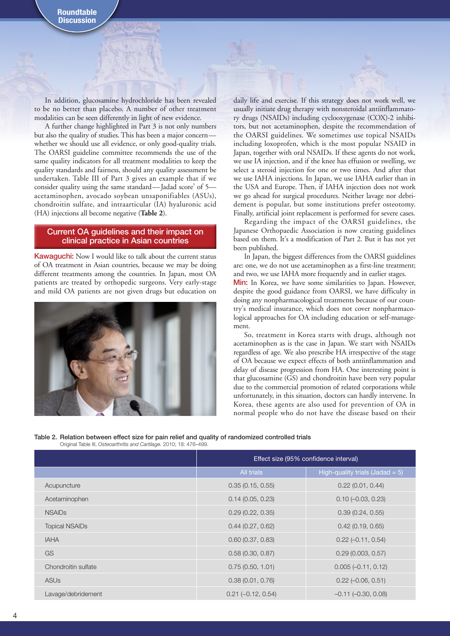In addition, glucosamine hydrochloride has been revealed to be no better than placebo. A number of other treatment modalities can be seen differently in light of new evidence.

A further change highlighted in Part 3 is not only numbers but also the quality of studies. This has been a major concern whether we should use all evidence, or only good-quality trials. The OARSI guideline committee recommends the use of the same quality indicators for all treatment modalities to keep the quality standards and fairness, should any quality assessment be undertaken. Table III of Part 3 gives an example that if we consider quality using the same standard—Jadad score<sup>5</sup> of 5 acetaminophen, avocado soybean unsaponifiables (ASUs), chondroitin sulfate, and intraarticular (IA) hyaluronic acid (HA) injections all become negative (**Table 2**).

## Current OA guidelines and their impact on clinical practice in Asian countries

Kawaguchi: Now I would like to talk about the current status of OA treatment in Asian countries, because we may be doing different treatments among the countries. In Japan, most OA patients are treated by orthopedic surgeons. Very early-stage and mild OA patients are not given drugs but education on



daily life and exercise. If this strategy does not work well, we usually initiate drug therapy with nonsteroidal antiinflammatory drugs (NSAIDs) including cyclooxygenase (COX)-2 inhibitors, but not acetaminophen, despite the recommendation of the OARSI guidelines. We sometimes use topical NSAIDs including loxoprofen, which is the most popular NSAID in Japan, together with oral NSAIDs. If these agents do not work, we use IA injection, and if the knee has effusion or swelling, we select a steroid injection for one or two times. And after that we use IAHA injections. In Japan, we use IAHA earlier than in the USA and Europe. Then, if IAHA injection does not work we go ahead for surgical procedures. Neither lavage nor debridement is popular, but some institutions prefer osteotomy. Finally, artificial joint replacement is performed for severe cases.

Regarding the impact of the OARSI guidelines, the Japanese Orthopaedic Association is now creating guidelines based on them. It's a modification of Part 2. But it has not yet been published.

In Japan, the biggest differences from the OARSI guidelines are: one, we do not use acetaminophen as a first-line treatment; and two, we use IAHA more frequently and in earlier stages.

Min: In Korea, we have some similarities to Japan. However, despite the good guidance from OARSI, we have difficulty in doing any nonpharmacological treatments because of our country's medical insurance, which does not cover nonpharmacological approaches for OA including education or self-management.

So, treatment in Korea starts with drugs, although not acetaminophen as is the case in Japan. We start with NSAIDs regardless of age. We also prescribe HA irrespective of the stage of OA because we expect effects of both antiinflammation and delay of disease progression from HA. One interesting point is that glucosamine (GS) and chondroitin have been very popular due to the commercial promotion of related corporations while unfortunately, in this situation, doctors can hardly intervene. In Korea, these agents are also used for prevention of OA in normal people who do not have the disease based on their

Table 2. Relation between effect size for pain relief and quality of randomized controlled trials Original Table III, *Osteoarthritis and Cartilage.* 2010; 18: 476–499.

|                       | Effect size (95% confidence interval) |                                    |
|-----------------------|---------------------------------------|------------------------------------|
|                       | All trials                            | High-quality trials (Jadad = $5$ ) |
| Acupuncture           | 0.35(0.15, 0.55)                      | 0.22(0.01, 0.44)                   |
| Acetaminophen         | 0.14(0.05, 0.23)                      | $0.10 (-0.03, 0.23)$               |
| <b>NSAIDs</b>         | 0.29(0.22, 0.35)                      | 0.39(0.24, 0.55)                   |
| <b>Topical NSAIDs</b> | 0.44(0.27, 0.62)                      | 0.42(0.19, 0.65)                   |
| <b>IAHA</b>           | 0.60(0.37, 0.83)                      | $0.22 (-0.11, 0.54)$               |
| GS                    | 0.58(0.30, 0.87)                      | 0.29(0.003, 0.57)                  |
| Chondroitin sulfate   | 0.75(0.50, 1.01)                      | $0.005(-0.11, 0.12)$               |
| <b>ASUs</b>           | 0.38(0.01, 0.76)                      | $0.22 (-0.06, 0.51)$               |
| Lavage/debridement    | $0.21 (-0.12, 0.54)$                  | $-0.11$ $(-0.30, 0.08)$            |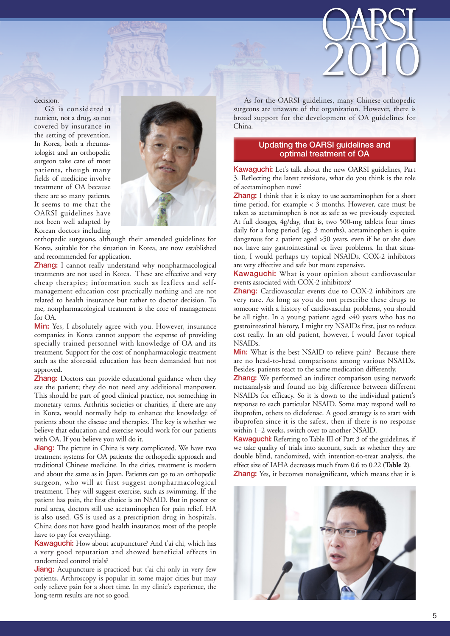

## decision.

GS is considered a nutrient, not a drug, so not covered by insurance in the setting of prevention. In Korea, both a rheumatologist and an orthopedic surgeon take care of most patients, though many fields of medicine involve treatment of OA because there are so many patients. It seems to me that the OARSI guidelines have not been well adapted by Korean doctors including



orthopedic surgeons, although their amended guidelines for Korea, suitable for the situation in Korea, are now established and recommended for application.

Zhang: I cannot really understand why nonpharmacological treatments are not used in Korea. These are effective and very cheap therapies; information such as leaflets and selfmanagement education cost practically nothing and are not related to health insurance but rather to doctor decision. To me, nonpharmacological treatment is the core of management for OA.

Min: Yes, I absolutely agree with you. However, insurance companies in Korea cannot support the expense of providing specially trained personnel with knowledge of OA and its treatment. Support for the cost of nonpharmacologic treatment such as the aforesaid education has been demanded but not approved.

Zhang: Doctors can provide educational guidance when they see the patient; they do not need any additional manpower. This should be part of good clinical practice, not something in monetary terms. Arthritis societies or charities, if there are any in Korea, would normally help to enhance the knowledge of patients about the disease and therapies. The key is whether we believe that education and exercise would work for our patients with OA. If you believe you will do it.

**Jiang:** The picture in China is very complicated. We have two treatment systems for OA patients: the orthopedic approach and traditional Chinese medicine. In the cities, treatment is modern and about the same as in Japan. Patients can go to an orthopedic surgeon, who will at first suggest nonpharmacological treatment. They will suggest exercise, such as swimming. If the patient has pain, the first choice is an NSAID. But in poorer or rural areas, doctors still use acetaminophen for pain relief. HA is also used. GS is used as a prescription drug in hospitals. China does not have good health insurance; most of the people have to pay for everything.

Kawaguchi: How about acupuncture? And t'ai chi, which has a very good reputation and showed beneficial effects in randomized control trials?

**Jiang:** Acupuncture is practiced but t'ai chi only in very few patients. Arthroscopy is popular in some major cities but may only relieve pain for a short time. In my clinic's experience, the long-term results are not so good.

As for the OARSI guidelines, many Chinese orthopedic surgeons are unaware of the organization. However, there is broad support for the development of OA guidelines for China.

## Updating the OARSI guidelines and optimal treatment of OA

Kawaguchi: Let's talk about the new OARSI guidelines, Part 3. Reflecting the latest revisions, what do you think is the role of acetaminophen now?

**Zhang:** I think that it is okay to use acetaminophen for a short time period, for example < 3 months. However, care must be taken as acetaminophen is not as safe as we previously expected. At full dosages, 4g/day, that is, two 500-mg tablets four times daily for a long period (eg, 3 months), acetaminophen is quite dangerous for a patient aged >50 years, even if he or she does not have any gastrointestinal or liver problems. In that situation, I would perhaps try topical NSAIDs. COX-2 inhibitors are very effective and safe but more expensive.

Kawaguchi: What is your opinion about cardiovascular events associated with COX-2 inhibitors?

Zhang: Cardiovascular events due to COX-2 inhibitors are very rare. As long as you do not prescribe these drugs to someone with a history of cardiovascular problems, you should be all right. In a young patient aged <40 years who has no gastrointestinal history, I might try NSAIDs first, just to reduce cost really. In an old patient, however, I would favor topical NSAIDs.

Min: What is the best NSAID to relieve pain? Because there are no head-to-head comparisons among various NSAIDs. Besides, patients react to the same medication differently.

Zhang: We performed an indirect comparison using network metaanalysis and found no big difference between different NSAIDs for efficacy. So it is down to the individual patient's response to each particular NSAID. Some may respond well to ibuprofen, others to diclofenac. A good strategy is to start with ibuprofen since it is the safest, then if there is no response within 1–2 weeks, switch over to another NSAID.

Kawaguchi: Referring to Table III of Part 3 of the guidelines, if we take quality of trials into account, such as whether they are double blind, randomized, with intention-to-treat analysis, the effect size of IAHA decreases much from 0.6 to 0.22 (**Table 2**). Zhang: Yes, it becomes nonsignificant, which means that it is